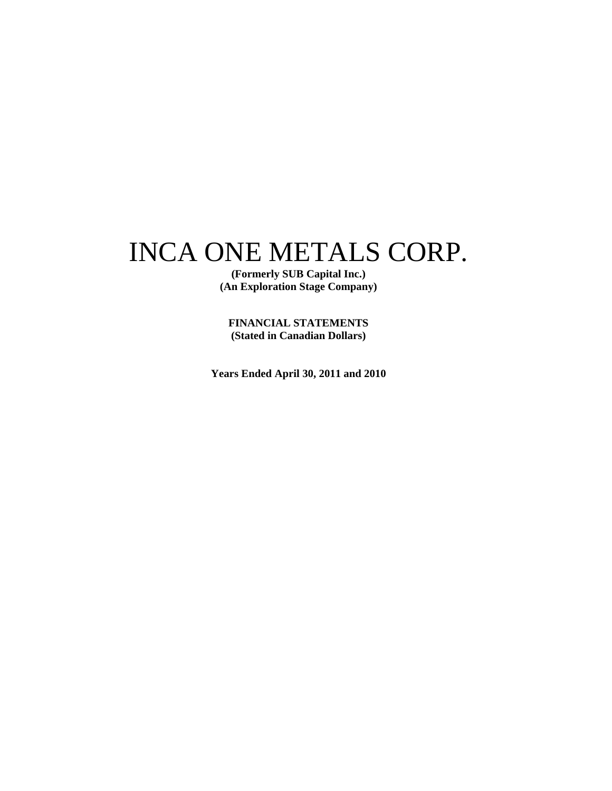# INCA ONE METALS CORP.

**(Formerly SUB Capital Inc.) (An Exploration Stage Company)** 

**FINANCIAL STATEMENTS (Stated in Canadian Dollars)** 

**Years Ended April 30, 2011 and 2010**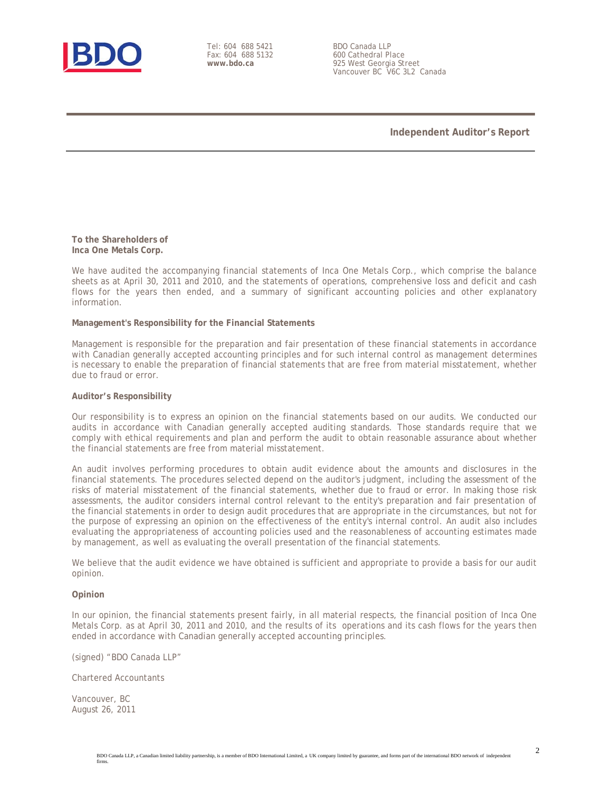

Tel: 604 688 5421 Fax: 604 688 5132 **www.bdo.ca** 

BDO Canada LLP 600 Cathedral Place 925 West Georgia Street Vancouver BC V6C 3L2 Canada

**Independent Auditor's Report**

**To the Shareholders of Inca One Metals Corp.** 

We have audited the accompanying financial statements of Inca One Metals Corp., which comprise the balance sheets as at April 30, 2011 and 2010, and the statements of operations, comprehensive loss and deficit and cash flows for the years then ended, and a summary of significant accounting policies and other explanatory information.

#### **Management's Responsibility for the Financial Statements**

Management is responsible for the preparation and fair presentation of these financial statements in accordance with Canadian generally accepted accounting principles and for such internal control as management determines is necessary to enable the preparation of financial statements that are free from material misstatement, whether due to fraud or error.

#### **Auditor's Responsibility**

Our responsibility is to express an opinion on the financial statements based on our audits. We conducted our audits in accordance with Canadian generally accepted auditing standards. Those standards require that we comply with ethical requirements and plan and perform the audit to obtain reasonable assurance about whether the financial statements are free from material misstatement.

An audit involves performing procedures to obtain audit evidence about the amounts and disclosures in the financial statements. The procedures selected depend on the auditor's judgment, including the assessment of the risks of material misstatement of the financial statements, whether due to fraud or error. In making those risk assessments, the auditor considers internal control relevant to the entity's preparation and fair presentation of the financial statements in order to design audit procedures that are appropriate in the circumstances, but not for the purpose of expressing an opinion on the effectiveness of the entity's internal control. An audit also includes evaluating the appropriateness of accounting policies used and the reasonableness of accounting estimates made by management, as well as evaluating the overall presentation of the financial statements.

We believe that the audit evidence we have obtained is sufficient and appropriate to provide a basis for our audit opinion.

#### **Opinion**

In our opinion, the financial statements present fairly, in all material respects, the financial position of Inca One Metals Corp. as at April 30, 2011 and 2010, and the results of its operations and its cash flows for the years then ended in accordance with Canadian generally accepted accounting principles.

(signed) "BDO Canada LLP"

Chartered Accountants

Vancouver, BC August 26, 2011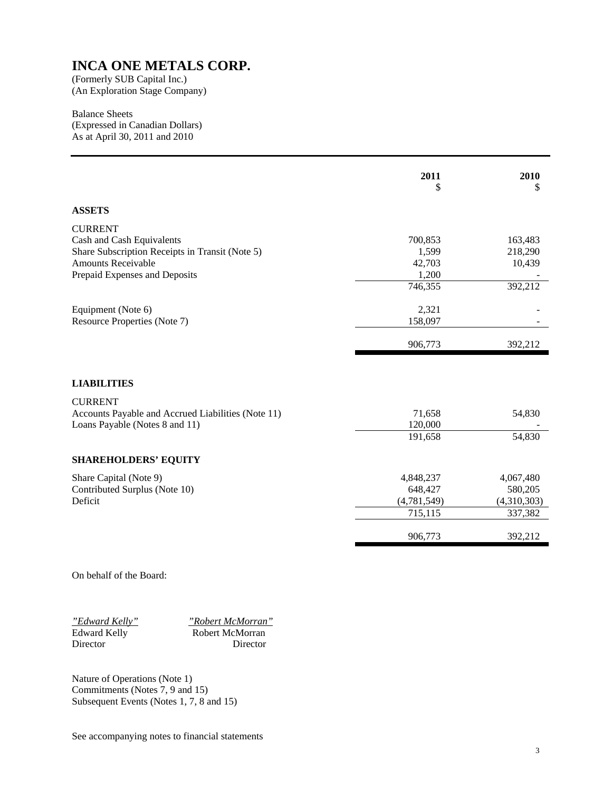(An Exploration Stage Company)

Balance Sheets (Expressed in Canadian Dollars) As at April 30, 2011 and 2010

|                                                    | 2011        | 2010        |
|----------------------------------------------------|-------------|-------------|
|                                                    | \$          | S           |
| <b>ASSETS</b>                                      |             |             |
| <b>CURRENT</b>                                     |             |             |
| Cash and Cash Equivalents                          | 700,853     | 163,483     |
| Share Subscription Receipts in Transit (Note 5)    | 1,599       | 218,290     |
| <b>Amounts Receivable</b>                          | 42,703      | 10,439      |
| Prepaid Expenses and Deposits                      | 1,200       |             |
|                                                    | 746,355     | 392,212     |
| Equipment (Note 6)                                 | 2,321       |             |
| Resource Properties (Note 7)                       | 158,097     |             |
|                                                    | 906,773     | 392,212     |
|                                                    |             |             |
| <b>LIABILITIES</b>                                 |             |             |
| <b>CURRENT</b>                                     |             |             |
| Accounts Payable and Accrued Liabilities (Note 11) | 71,658      | 54,830      |
| Loans Payable (Notes 8 and 11)                     | 120,000     |             |
|                                                    | 191,658     | 54,830      |
| <b>SHAREHOLDERS' EQUITY</b>                        |             |             |
| Share Capital (Note 9)                             | 4,848,237   | 4,067,480   |
| Contributed Surplus (Note 10)                      | 648,427     | 580,205     |
| Deficit                                            | (4,781,549) | (4,310,303) |
|                                                    | 715,115     | 337,382     |

On behalf of the Board:

| "Edward Kelly"      | "Robert McMorran" |
|---------------------|-------------------|
| <b>Edward Kelly</b> | Robert McMorran   |
| Director            | Director          |

Nature of Operations (Note 1) Commitments (Notes 7, 9 and 15) Subsequent Events (Notes 1, 7, 8 and 15) 906,773 392,212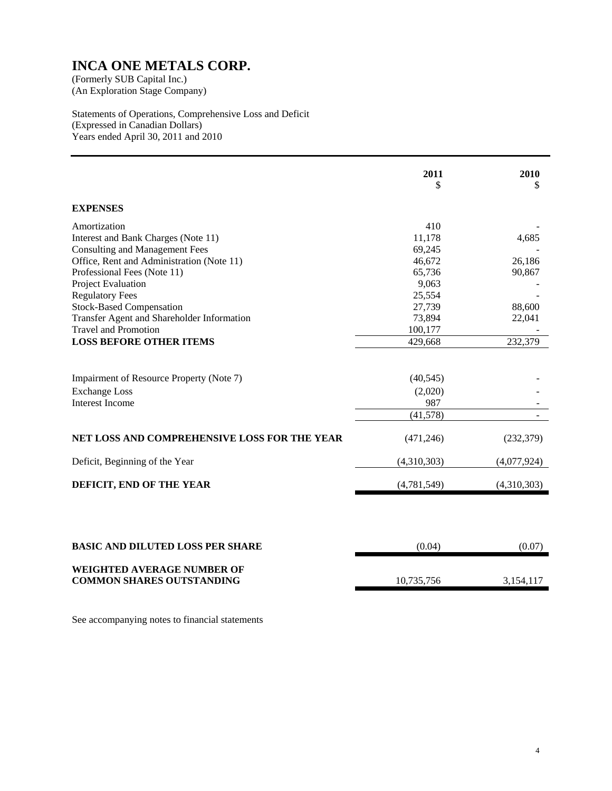(An Exploration Stage Company)

Statements of Operations, Comprehensive Loss and Deficit (Expressed in Canadian Dollars) Years ended April 30, 2011 and 2010

|                                                                                                                                                                                                                                                                                                                                          | 2011<br>\$                                                                                    | 2010<br>\$                                    |
|------------------------------------------------------------------------------------------------------------------------------------------------------------------------------------------------------------------------------------------------------------------------------------------------------------------------------------------|-----------------------------------------------------------------------------------------------|-----------------------------------------------|
| <b>EXPENSES</b>                                                                                                                                                                                                                                                                                                                          |                                                                                               |                                               |
| Amortization<br>Interest and Bank Charges (Note 11)<br><b>Consulting and Management Fees</b><br>Office, Rent and Administration (Note 11)<br>Professional Fees (Note 11)<br>Project Evaluation<br><b>Regulatory Fees</b><br><b>Stock-Based Compensation</b><br>Transfer Agent and Shareholder Information<br><b>Travel and Promotion</b> | 410<br>11,178<br>69,245<br>46,672<br>65,736<br>9,063<br>25,554<br>27,739<br>73,894<br>100,177 | 4,685<br>26,186<br>90,867<br>88,600<br>22,041 |
| <b>LOSS BEFORE OTHER ITEMS</b>                                                                                                                                                                                                                                                                                                           | 429,668                                                                                       | 232,379                                       |
| Impairment of Resource Property (Note 7)<br><b>Exchange Loss</b><br><b>Interest Income</b>                                                                                                                                                                                                                                               | (40, 545)<br>(2,020)<br>987<br>(41, 578)                                                      |                                               |
| NET LOSS AND COMPREHENSIVE LOSS FOR THE YEAR                                                                                                                                                                                                                                                                                             | (471, 246)                                                                                    | (232, 379)                                    |
| Deficit, Beginning of the Year                                                                                                                                                                                                                                                                                                           | (4,310,303)                                                                                   | (4,077,924)                                   |
| DEFICIT, END OF THE YEAR                                                                                                                                                                                                                                                                                                                 | (4,781,549)                                                                                   | (4,310,303)                                   |
|                                                                                                                                                                                                                                                                                                                                          |                                                                                               |                                               |
| <b>BASIC AND DILUTED LOSS PER SHARE</b>                                                                                                                                                                                                                                                                                                  | (0.04)                                                                                        | (0.07)                                        |
| <b>WEIGHTED AVERAGE NUMBER OF</b><br><b>COMMON SHARES OUTSTANDING</b>                                                                                                                                                                                                                                                                    | 10,735,756                                                                                    | 3,154,117                                     |

See accompanying notes to financial statements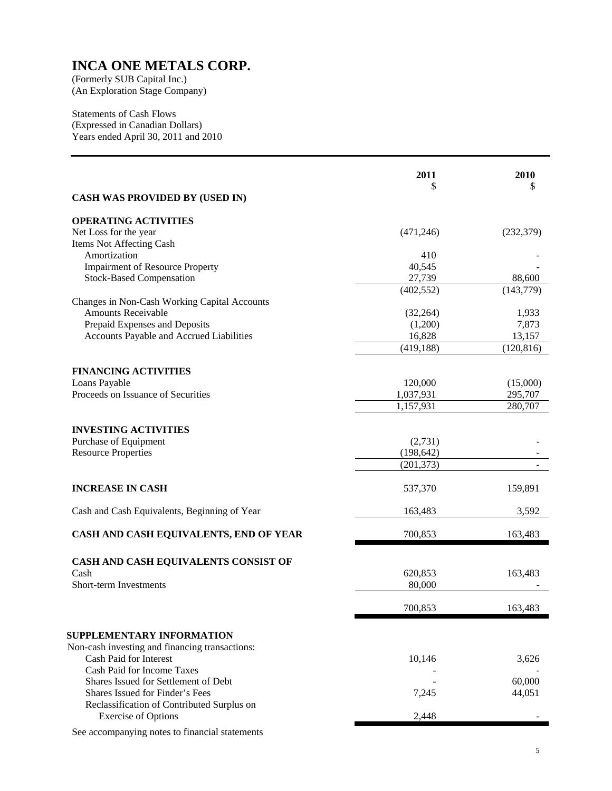(An Exploration Stage Company)

Statements of Cash Flows (Expressed in Canadian Dollars) Years ended April 30, 2011 and 2010

|                                                                           | 2011                 | 2010           |
|---------------------------------------------------------------------------|----------------------|----------------|
| <b>CASH WAS PROVIDED BY (USED IN)</b>                                     | \$                   | \$             |
| <b>OPERATING ACTIVITIES</b>                                               |                      |                |
| Net Loss for the year                                                     | (471, 246)           | (232, 379)     |
| Items Not Affecting Cash                                                  |                      |                |
| Amortization                                                              | 410                  |                |
| <b>Impairment of Resource Property</b>                                    | 40,545               |                |
| <b>Stock-Based Compensation</b>                                           | 27,739               | 88,600         |
|                                                                           | (402, 552)           | (143,779)      |
| Changes in Non-Cash Working Capital Accounts<br><b>Amounts Receivable</b> |                      |                |
| Prepaid Expenses and Deposits                                             | (32, 264)<br>(1,200) | 1,933<br>7,873 |
| Accounts Payable and Accrued Liabilities                                  | 16,828               | 13,157         |
|                                                                           | (419, 188)           | (120, 816)     |
|                                                                           |                      |                |
| <b>FINANCING ACTIVITIES</b>                                               |                      |                |
| Loans Payable                                                             | 120,000              | (15,000)       |
| Proceeds on Issuance of Securities                                        | 1,037,931            | 295,707        |
|                                                                           | 1,157,931            | 280,707        |
| <b>INVESTING ACTIVITIES</b>                                               |                      |                |
| Purchase of Equipment                                                     | (2,731)              |                |
| <b>Resource Properties</b>                                                | (198, 642)           |                |
|                                                                           | (201, 373)           |                |
|                                                                           |                      |                |
| <b>INCREASE IN CASH</b>                                                   | 537,370              | 159,891        |
| Cash and Cash Equivalents, Beginning of Year                              | 163,483              | 3,592          |
| CASH AND CASH EQUIVALENTS, END OF YEAR                                    | 700,853              | 163,483        |
|                                                                           |                      |                |
| CASH AND CASH EQUIVALENTS CONSIST OF<br>Cash                              | 620,853              | 163,483        |
| Short-term Investments                                                    | 80,000               |                |
|                                                                           |                      |                |
|                                                                           | 700,853              | 163,483        |
| SUPPLEMENTARY INFORMATION                                                 |                      |                |
| Non-cash investing and financing transactions:                            |                      |                |
| Cash Paid for Interest                                                    | 10,146               | 3,626          |
| Cash Paid for Income Taxes                                                |                      |                |
| Shares Issued for Settlement of Debt                                      |                      | 60,000         |
| Shares Issued for Finder's Fees                                           | 7,245                | 44,051         |
| Reclassification of Contributed Surplus on                                |                      |                |
| <b>Exercise of Options</b>                                                | 2,448                |                |

See accompanying notes to financial statements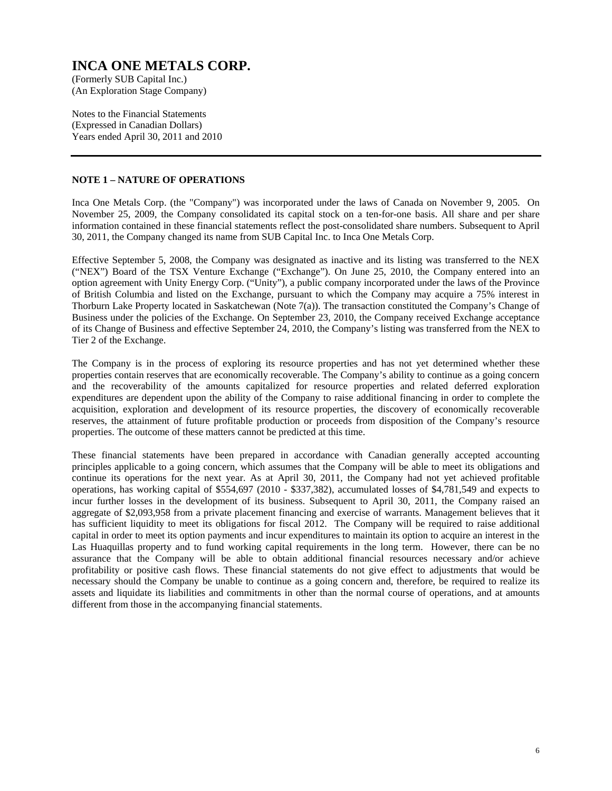(An Exploration Stage Company)

Notes to the Financial Statements (Expressed in Canadian Dollars) Years ended April 30, 2011 and 2010

#### **NOTE 1 – NATURE OF OPERATIONS**

Inca One Metals Corp. (the "Company") was incorporated under the laws of Canada on November 9, 2005. On November 25, 2009, the Company consolidated its capital stock on a ten-for-one basis. All share and per share information contained in these financial statements reflect the post-consolidated share numbers. Subsequent to April 30, 2011, the Company changed its name from SUB Capital Inc. to Inca One Metals Corp.

Effective September 5, 2008, the Company was designated as inactive and its listing was transferred to the NEX ("NEX") Board of the TSX Venture Exchange ("Exchange"). On June 25, 2010, the Company entered into an option agreement with Unity Energy Corp. ("Unity"), a public company incorporated under the laws of the Province of British Columbia and listed on the Exchange, pursuant to which the Company may acquire a 75% interest in Thorburn Lake Property located in Saskatchewan (Note 7(a)). The transaction constituted the Company's Change of Business under the policies of the Exchange. On September 23, 2010, the Company received Exchange acceptance of its Change of Business and effective September 24, 2010, the Company's listing was transferred from the NEX to Tier 2 of the Exchange.

The Company is in the process of exploring its resource properties and has not yet determined whether these properties contain reserves that are economically recoverable. The Company's ability to continue as a going concern and the recoverability of the amounts capitalized for resource properties and related deferred exploration expenditures are dependent upon the ability of the Company to raise additional financing in order to complete the acquisition, exploration and development of its resource properties, the discovery of economically recoverable reserves, the attainment of future profitable production or proceeds from disposition of the Company's resource properties. The outcome of these matters cannot be predicted at this time.

These financial statements have been prepared in accordance with Canadian generally accepted accounting principles applicable to a going concern, which assumes that the Company will be able to meet its obligations and continue its operations for the next year. As at April 30, 2011, the Company had not yet achieved profitable operations, has working capital of \$554,697 (2010 - \$337,382), accumulated losses of \$4,781,549 and expects to incur further losses in the development of its business. Subsequent to April 30, 2011, the Company raised an aggregate of \$2,093,958 from a private placement financing and exercise of warrants. Management believes that it has sufficient liquidity to meet its obligations for fiscal 2012. The Company will be required to raise additional capital in order to meet its option payments and incur expenditures to maintain its option to acquire an interest in the Las Huaquillas property and to fund working capital requirements in the long term. However, there can be no assurance that the Company will be able to obtain additional financial resources necessary and/or achieve profitability or positive cash flows. These financial statements do not give effect to adjustments that would be necessary should the Company be unable to continue as a going concern and, therefore, be required to realize its assets and liquidate its liabilities and commitments in other than the normal course of operations, and at amounts different from those in the accompanying financial statements.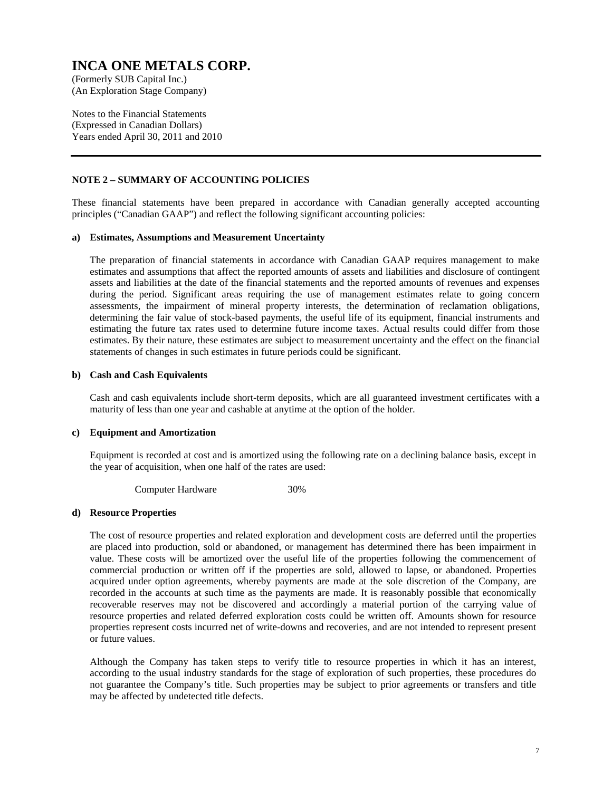(An Exploration Stage Company)

Notes to the Financial Statements (Expressed in Canadian Dollars) Years ended April 30, 2011 and 2010

### **NOTE 2 – SUMMARY OF ACCOUNTING POLICIES**

These financial statements have been prepared in accordance with Canadian generally accepted accounting principles ("Canadian GAAP") and reflect the following significant accounting policies:

#### **a) Estimates, Assumptions and Measurement Uncertainty**

The preparation of financial statements in accordance with Canadian GAAP requires management to make estimates and assumptions that affect the reported amounts of assets and liabilities and disclosure of contingent assets and liabilities at the date of the financial statements and the reported amounts of revenues and expenses during the period. Significant areas requiring the use of management estimates relate to going concern assessments, the impairment of mineral property interests, the determination of reclamation obligations, determining the fair value of stock-based payments, the useful life of its equipment, financial instruments and estimating the future tax rates used to determine future income taxes. Actual results could differ from those estimates. By their nature, these estimates are subject to measurement uncertainty and the effect on the financial statements of changes in such estimates in future periods could be significant.

#### **b) Cash and Cash Equivalents**

Cash and cash equivalents include short-term deposits, which are all guaranteed investment certificates with a maturity of less than one year and cashable at anytime at the option of the holder.

#### **c) Equipment and Amortization**

Equipment is recorded at cost and is amortized using the following rate on a declining balance basis, except in the year of acquisition, when one half of the rates are used:

Computer Hardware 30%

#### **d) Resource Properties**

The cost of resource properties and related exploration and development costs are deferred until the properties are placed into production, sold or abandoned, or management has determined there has been impairment in value. These costs will be amortized over the useful life of the properties following the commencement of commercial production or written off if the properties are sold, allowed to lapse, or abandoned. Properties acquired under option agreements, whereby payments are made at the sole discretion of the Company, are recorded in the accounts at such time as the payments are made. It is reasonably possible that economically recoverable reserves may not be discovered and accordingly a material portion of the carrying value of resource properties and related deferred exploration costs could be written off. Amounts shown for resource properties represent costs incurred net of write-downs and recoveries, and are not intended to represent present or future values.

Although the Company has taken steps to verify title to resource properties in which it has an interest, according to the usual industry standards for the stage of exploration of such properties, these procedures do not guarantee the Company's title. Such properties may be subject to prior agreements or transfers and title may be affected by undetected title defects.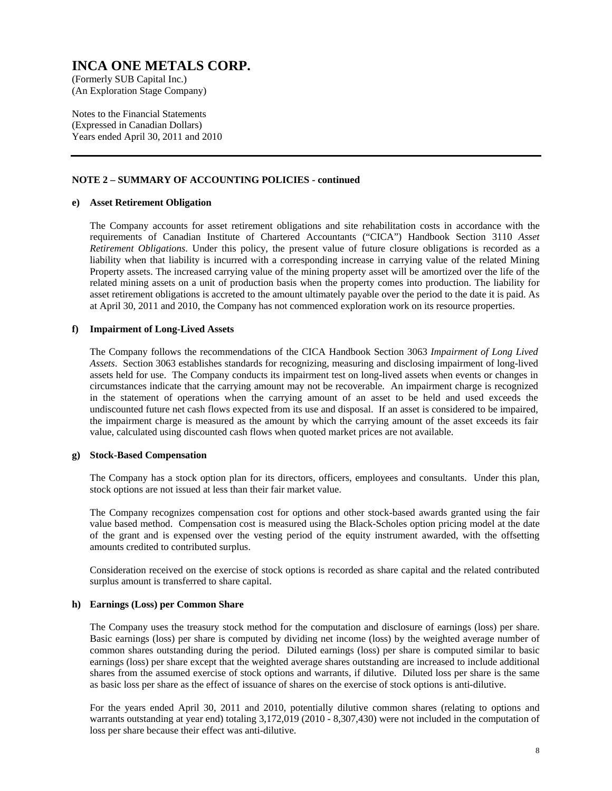(An Exploration Stage Company)

Notes to the Financial Statements (Expressed in Canadian Dollars) Years ended April 30, 2011 and 2010

#### **NOTE 2 – SUMMARY OF ACCOUNTING POLICIES - continued**

### **e) Asset Retirement Obligation**

The Company accounts for asset retirement obligations and site rehabilitation costs in accordance with the requirements of Canadian Institute of Chartered Accountants ("CICA") Handbook Section 3110 *Asset Retirement Obligations*. Under this policy, the present value of future closure obligations is recorded as a liability when that liability is incurred with a corresponding increase in carrying value of the related Mining Property assets. The increased carrying value of the mining property asset will be amortized over the life of the related mining assets on a unit of production basis when the property comes into production. The liability for asset retirement obligations is accreted to the amount ultimately payable over the period to the date it is paid. As at April 30, 2011 and 2010, the Company has not commenced exploration work on its resource properties.

### **f) Impairment of Long-Lived Assets**

The Company follows the recommendations of the CICA Handbook Section 3063 *Impairment of Long Lived Assets*. Section 3063 establishes standards for recognizing, measuring and disclosing impairment of long-lived assets held for use. The Company conducts its impairment test on long-lived assets when events or changes in circumstances indicate that the carrying amount may not be recoverable. An impairment charge is recognized in the statement of operations when the carrying amount of an asset to be held and used exceeds the undiscounted future net cash flows expected from its use and disposal. If an asset is considered to be impaired, the impairment charge is measured as the amount by which the carrying amount of the asset exceeds its fair value, calculated using discounted cash flows when quoted market prices are not available.

#### **g) Stock-Based Compensation**

The Company has a stock option plan for its directors, officers, employees and consultants. Under this plan, stock options are not issued at less than their fair market value.

The Company recognizes compensation cost for options and other stock-based awards granted using the fair value based method. Compensation cost is measured using the Black-Scholes option pricing model at the date of the grant and is expensed over the vesting period of the equity instrument awarded, with the offsetting amounts credited to contributed surplus.

Consideration received on the exercise of stock options is recorded as share capital and the related contributed surplus amount is transferred to share capital.

#### **h) Earnings (Loss) per Common Share**

The Company uses the treasury stock method for the computation and disclosure of earnings (loss) per share. Basic earnings (loss) per share is computed by dividing net income (loss) by the weighted average number of common shares outstanding during the period. Diluted earnings (loss) per share is computed similar to basic earnings (loss) per share except that the weighted average shares outstanding are increased to include additional shares from the assumed exercise of stock options and warrants, if dilutive. Diluted loss per share is the same as basic loss per share as the effect of issuance of shares on the exercise of stock options is anti-dilutive.

For the years ended April 30, 2011 and 2010, potentially dilutive common shares (relating to options and warrants outstanding at year end) totaling 3,172,019 (2010 - 8,307,430) were not included in the computation of loss per share because their effect was anti-dilutive.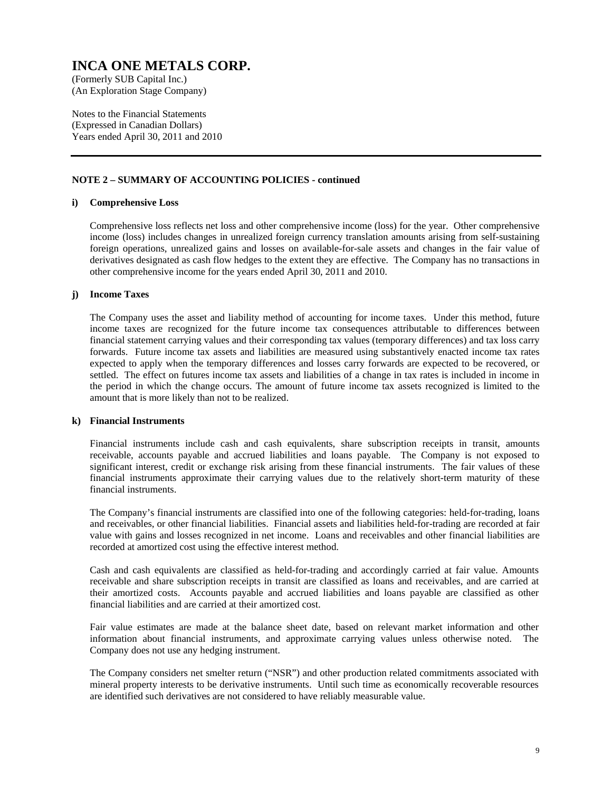(An Exploration Stage Company)

Notes to the Financial Statements (Expressed in Canadian Dollars) Years ended April 30, 2011 and 2010

#### **NOTE 2 – SUMMARY OF ACCOUNTING POLICIES - continued**

#### **i) Comprehensive Loss**

Comprehensive loss reflects net loss and other comprehensive income (loss) for the year. Other comprehensive income (loss) includes changes in unrealized foreign currency translation amounts arising from self-sustaining foreign operations, unrealized gains and losses on available-for-sale assets and changes in the fair value of derivatives designated as cash flow hedges to the extent they are effective. The Company has no transactions in other comprehensive income for the years ended April 30, 2011 and 2010.

#### **j) Income Taxes**

The Company uses the asset and liability method of accounting for income taxes. Under this method, future income taxes are recognized for the future income tax consequences attributable to differences between financial statement carrying values and their corresponding tax values (temporary differences) and tax loss carry forwards. Future income tax assets and liabilities are measured using substantively enacted income tax rates expected to apply when the temporary differences and losses carry forwards are expected to be recovered, or settled. The effect on futures income tax assets and liabilities of a change in tax rates is included in income in the period in which the change occurs. The amount of future income tax assets recognized is limited to the amount that is more likely than not to be realized.

#### **k) Financial Instruments**

Financial instruments include cash and cash equivalents, share subscription receipts in transit, amounts receivable, accounts payable and accrued liabilities and loans payable. The Company is not exposed to significant interest, credit or exchange risk arising from these financial instruments. The fair values of these financial instruments approximate their carrying values due to the relatively short-term maturity of these financial instruments.

The Company's financial instruments are classified into one of the following categories: held-for-trading, loans and receivables, or other financial liabilities. Financial assets and liabilities held-for-trading are recorded at fair value with gains and losses recognized in net income. Loans and receivables and other financial liabilities are recorded at amortized cost using the effective interest method.

Cash and cash equivalents are classified as held-for-trading and accordingly carried at fair value. Amounts receivable and share subscription receipts in transit are classified as loans and receivables, and are carried at their amortized costs. Accounts payable and accrued liabilities and loans payable are classified as other financial liabilities and are carried at their amortized cost.

Fair value estimates are made at the balance sheet date, based on relevant market information and other information about financial instruments, and approximate carrying values unless otherwise noted. The Company does not use any hedging instrument.

The Company considers net smelter return ("NSR") and other production related commitments associated with mineral property interests to be derivative instruments. Until such time as economically recoverable resources are identified such derivatives are not considered to have reliably measurable value.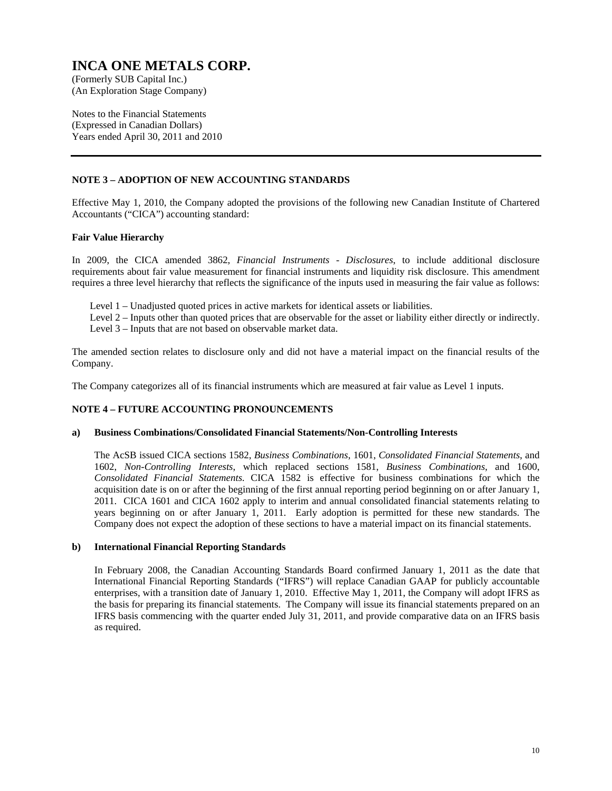(An Exploration Stage Company)

Notes to the Financial Statements (Expressed in Canadian Dollars) Years ended April 30, 2011 and 2010

### **NOTE 3 – ADOPTION OF NEW ACCOUNTING STANDARDS**

Effective May 1, 2010, the Company adopted the provisions of the following new Canadian Institute of Chartered Accountants ("CICA") accounting standard:

#### **Fair Value Hierarchy**

In 2009, the CICA amended 3862, *Financial Instruments - Disclosures*, to include additional disclosure requirements about fair value measurement for financial instruments and liquidity risk disclosure. This amendment requires a three level hierarchy that reflects the significance of the inputs used in measuring the fair value as follows:

- Level 1 Unadjusted quoted prices in active markets for identical assets or liabilities.
- Level 2 Inputs other than quoted prices that are observable for the asset or liability either directly or indirectly.
- Level 3 Inputs that are not based on observable market data.

The amended section relates to disclosure only and did not have a material impact on the financial results of the Company.

The Company categorizes all of its financial instruments which are measured at fair value as Level 1 inputs.

### **NOTE 4 – FUTURE ACCOUNTING PRONOUNCEMENTS**

#### **a) Business Combinations/Consolidated Financial Statements/Non-Controlling Interests**

The AcSB issued CICA sections 1582, *Business Combinations*, 1601, *Consolidated Financial Statements*, and 1602, *Non-Controlling Interests*, which replaced sections 1581, *Business Combinations*, and 1600, *Consolidated Financial Statements*. CICA 1582 is effective for business combinations for which the acquisition date is on or after the beginning of the first annual reporting period beginning on or after January 1, 2011. CICA 1601 and CICA 1602 apply to interim and annual consolidated financial statements relating to years beginning on or after January 1, 2011. Early adoption is permitted for these new standards. The Company does not expect the adoption of these sections to have a material impact on its financial statements.

#### **b) International Financial Reporting Standards**

 In February 2008, the Canadian Accounting Standards Board confirmed January 1, 2011 as the date that International Financial Reporting Standards ("IFRS") will replace Canadian GAAP for publicly accountable enterprises, with a transition date of January 1, 2010. Effective May 1, 2011, the Company will adopt IFRS as the basis for preparing its financial statements. The Company will issue its financial statements prepared on an IFRS basis commencing with the quarter ended July 31, 2011, and provide comparative data on an IFRS basis as required.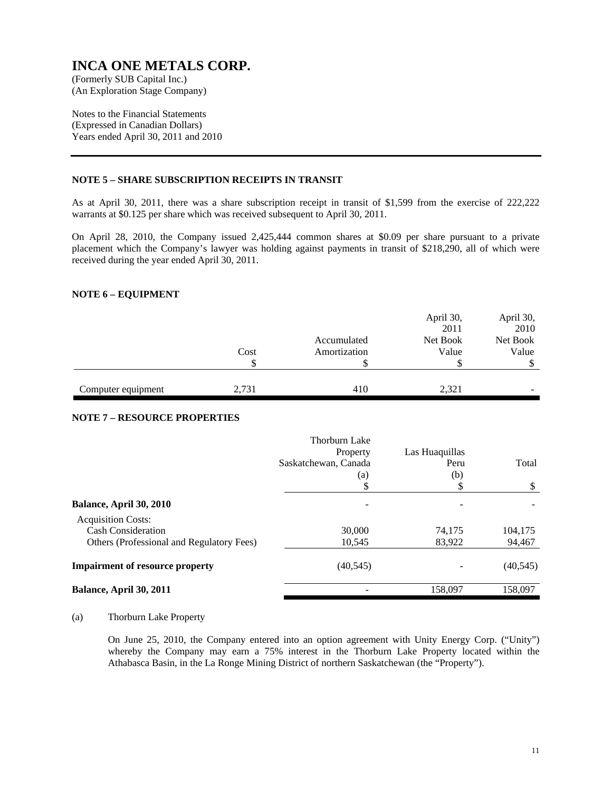(An Exploration Stage Company)

Notes to the Financial Statements (Expressed in Canadian Dollars) Years ended April 30, 2011 and 2010

#### **NOTE 5 – SHARE SUBSCRIPTION RECEIPTS IN TRANSIT**

As at April 30, 2011, there was a share subscription receipt in transit of \$1,599 from the exercise of 222,222 warrants at \$0.125 per share which was received subsequent to April 30, 2011.

On April 28, 2010, the Company issued 2,425,444 common shares at \$0.09 per share pursuant to a private placement which the Company's lawyer was holding against payments in transit of \$218,290, all of which were received during the year ended April 30, 2011.

#### **NOTE 6 – EQUIPMENT**

|                    |       |              | April 30, | April 30,                |
|--------------------|-------|--------------|-----------|--------------------------|
|                    |       |              | 2011      | 2010                     |
|                    |       | Accumulated  | Net Book  | Net Book                 |
|                    | Cost  | Amortization | Value     | Value                    |
|                    |       |              |           |                          |
|                    |       |              |           |                          |
| Computer equipment | 2,731 | 410          | 2,321     | $\overline{\phantom{0}}$ |

### **NOTE 7 – RESOURCE PROPERTIES**

|                                           | <b>Thorburn Lake</b><br>Property<br>Saskatchewan, Canada<br>(a)<br>S | Las Huaquillas<br>Peru<br>(b)<br>\$ | Total<br>\$ |
|-------------------------------------------|----------------------------------------------------------------------|-------------------------------------|-------------|
| Balance, April 30, 2010                   |                                                                      |                                     |             |
| <b>Acquisition Costs:</b>                 |                                                                      |                                     |             |
| <b>Cash Consideration</b>                 | 30,000                                                               | 74,175                              | 104,175     |
| Others (Professional and Regulatory Fees) | 10,545                                                               | 83,922                              | 94,467      |
| <b>Impairment of resource property</b>    | (40, 545)                                                            |                                     | (40, 545)   |
| Balance, April 30, 2011                   |                                                                      | 158,097                             | 158,097     |

(a) Thorburn Lake Property

On June 25, 2010, the Company entered into an option agreement with Unity Energy Corp. ("Unity") whereby the Company may earn a 75% interest in the Thorburn Lake Property located within the Athabasca Basin, in the La Ronge Mining District of northern Saskatchewan (the "Property").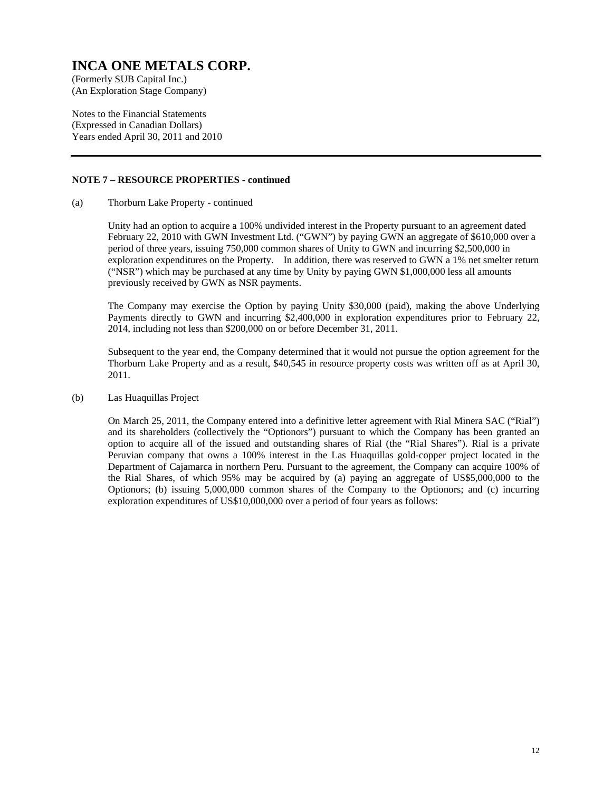(An Exploration Stage Company)

Notes to the Financial Statements (Expressed in Canadian Dollars) Years ended April 30, 2011 and 2010

#### **NOTE 7 – RESOURCE PROPERTIES - continued**

#### (a) Thorburn Lake Property - continued

Unity had an option to acquire a 100% undivided interest in the Property pursuant to an agreement dated February 22, 2010 with GWN Investment Ltd. ("GWN") by paying GWN an aggregate of \$610,000 over a period of three years, issuing 750,000 common shares of Unity to GWN and incurring \$2,500,000 in exploration expenditures on the Property. In addition, there was reserved to GWN a 1% net smelter return ("NSR") which may be purchased at any time by Unity by paying GWN \$1,000,000 less all amounts previously received by GWN as NSR payments.

The Company may exercise the Option by paying Unity \$30,000 (paid), making the above Underlying Payments directly to GWN and incurring \$2,400,000 in exploration expenditures prior to February 22, 2014, including not less than \$200,000 on or before December 31, 2011.

Subsequent to the year end, the Company determined that it would not pursue the option agreement for the Thorburn Lake Property and as a result, \$40,545 in resource property costs was written off as at April 30, 2011.

### (b) Las Huaquillas Project

On March 25, 2011, the Company entered into a definitive letter agreement with Rial Minera SAC ("Rial") and its shareholders (collectively the "Optionors") pursuant to which the Company has been granted an option to acquire all of the issued and outstanding shares of Rial (the "Rial Shares"). Rial is a private Peruvian company that owns a 100% interest in the Las Huaquillas gold-copper project located in the Department of Cajamarca in northern Peru. Pursuant to the agreement, the Company can acquire 100% of the Rial Shares, of which 95% may be acquired by (a) paying an aggregate of US\$5,000,000 to the Optionors; (b) issuing 5,000,000 common shares of the Company to the Optionors; and (c) incurring exploration expenditures of US\$10,000,000 over a period of four years as follows: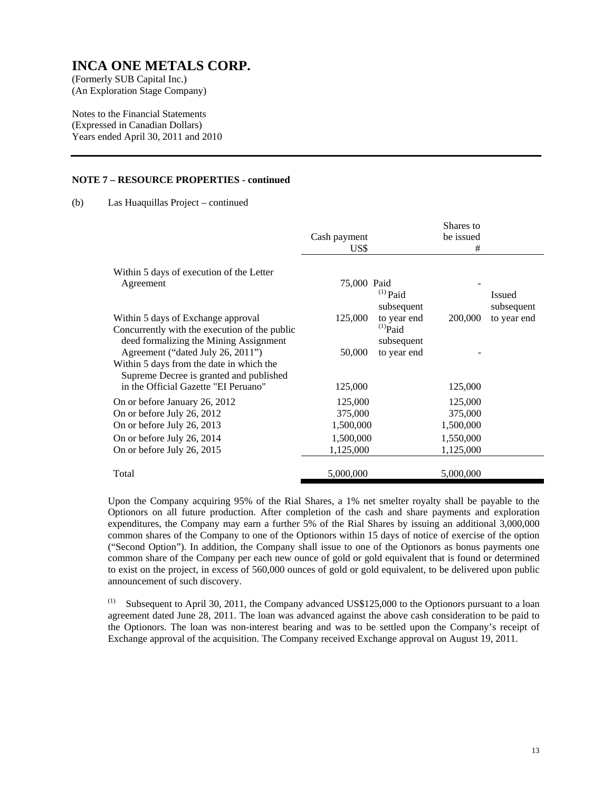(An Exploration Stage Company)

Notes to the Financial Statements (Expressed in Canadian Dollars) Years ended April 30, 2011 and 2010

#### **NOTE 7 – RESOURCE PROPERTIES - continued**

(b) Las Huaquillas Project – continued

|                                                                                                                                                                                                                                                           | Cash payment<br>US\$                                      |                                                                         | Shares to<br>be issued<br>#                               |                           |
|-----------------------------------------------------------------------------------------------------------------------------------------------------------------------------------------------------------------------------------------------------------|-----------------------------------------------------------|-------------------------------------------------------------------------|-----------------------------------------------------------|---------------------------|
| Within 5 days of execution of the Letter<br>Agreement                                                                                                                                                                                                     | 75,000 Paid                                               | $(1)$ Paid                                                              |                                                           | <b>Issued</b>             |
| Within 5 days of Exchange approval<br>Concurrently with the execution of the public<br>deed formalizing the Mining Assignment<br>Agreement ("dated July 26, 2011")<br>Within 5 days from the date in which the<br>Supreme Decree is granted and published | 125,000<br>50,000                                         | subsequent<br>to year end<br>$^{(1)}$ Paid<br>subsequent<br>to year end | 200,000                                                   | subsequent<br>to year end |
| in the Official Gazette "EI Peruano"                                                                                                                                                                                                                      | 125,000                                                   |                                                                         | 125,000                                                   |                           |
| On or before January 26, 2012<br>On or before July 26, 2012<br>On or before July 26, 2013<br>On or before July 26, 2014<br>On or before July 26, 2015                                                                                                     | 125,000<br>375,000<br>1,500,000<br>1,500,000<br>1,125,000 |                                                                         | 125,000<br>375,000<br>1,500,000<br>1,550,000<br>1,125,000 |                           |
| Total                                                                                                                                                                                                                                                     | 5,000,000                                                 |                                                                         | 5,000,000                                                 |                           |

Upon the Company acquiring 95% of the Rial Shares, a 1% net smelter royalty shall be payable to the Optionors on all future production. After completion of the cash and share payments and exploration expenditures, the Company may earn a further 5% of the Rial Shares by issuing an additional 3,000,000 common shares of the Company to one of the Optionors within 15 days of notice of exercise of the option ("Second Option"). In addition, the Company shall issue to one of the Optionors as bonus payments one common share of the Company per each new ounce of gold or gold equivalent that is found or determined to exist on the project, in excess of 560,000 ounces of gold or gold equivalent, to be delivered upon public announcement of such discovery.

<sup>(1)</sup> Subsequent to April 30, 2011, the Company advanced US\$125,000 to the Optionors pursuant to a loan agreement dated June 28, 2011. The loan was advanced against the above cash consideration to be paid to the Optionors. The loan was non-interest bearing and was to be settled upon the Company's receipt of Exchange approval of the acquisition. The Company received Exchange approval on August 19, 2011.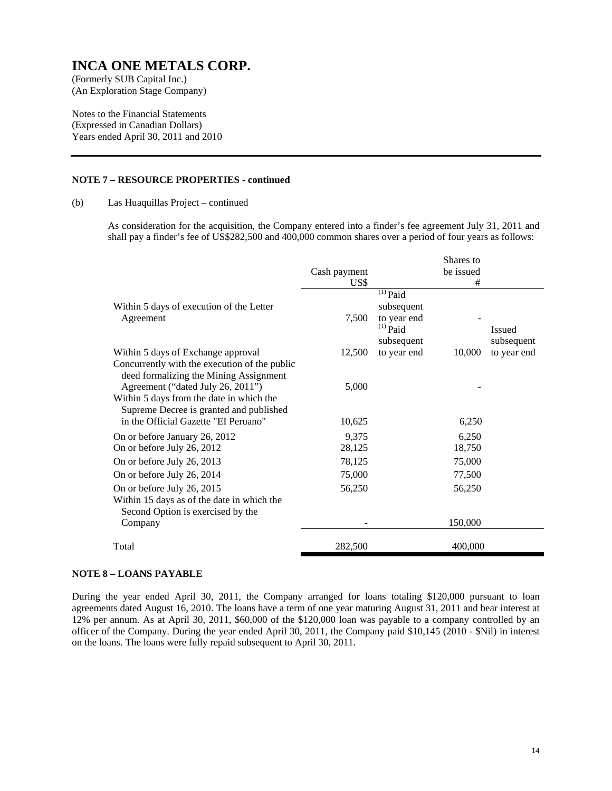(An Exploration Stage Company)

Notes to the Financial Statements (Expressed in Canadian Dollars) Years ended April 30, 2011 and 2010

#### **NOTE 7 – RESOURCE PROPERTIES - continued**

(b) Las Huaquillas Project – continued

As consideration for the acquisition, the Company entered into a finder's fee agreement July 31, 2011 and shall pay a finder's fee of US\$282,500 and 400,000 common shares over a period of four years as follows:

|                                                                                 |                      |                           | Shares to      |                           |
|---------------------------------------------------------------------------------|----------------------|---------------------------|----------------|---------------------------|
|                                                                                 | Cash payment<br>US\$ |                           | be issued<br># |                           |
|                                                                                 |                      | $\overline{^{(1)}}$ Paid  |                |                           |
| Within 5 days of execution of the Letter                                        |                      | subsequent                |                |                           |
| Agreement                                                                       | 7,500                | to year end               |                |                           |
|                                                                                 |                      | $^{(1)}$ Paid             |                | <b>Issued</b>             |
| Within 5 days of Exchange approval                                              | 12,500               | subsequent<br>to year end | 10,000         | subsequent<br>to year end |
| Concurrently with the execution of the public                                   |                      |                           |                |                           |
| deed formalizing the Mining Assignment                                          |                      |                           |                |                           |
| Agreement ("dated July 26, 2011")                                               | 5,000                |                           |                |                           |
| Within 5 days from the date in which the                                        |                      |                           |                |                           |
| Supreme Decree is granted and published<br>in the Official Gazette "EI Peruano" | 10,625               |                           | 6,250          |                           |
| On or before January 26, 2012                                                   | 9,375                |                           | 6,250          |                           |
| On or before July 26, 2012                                                      | 28,125               |                           | 18,750         |                           |
| On or before July 26, 2013                                                      | 78,125               |                           | 75,000         |                           |
| On or before July 26, 2014                                                      | 75,000               |                           | 77,500         |                           |
| On or before July 26, 2015                                                      | 56,250               |                           | 56,250         |                           |
| Within 15 days as of the date in which the                                      |                      |                           |                |                           |
| Second Option is exercised by the                                               |                      |                           |                |                           |
| Company                                                                         |                      |                           | 150,000        |                           |
| Total                                                                           | 282,500              |                           | 400,000        |                           |

#### **NOTE 8 – LOANS PAYABLE**

During the year ended April 30, 2011, the Company arranged for loans totaling \$120,000 pursuant to loan agreements dated August 16, 2010. The loans have a term of one year maturing August 31, 2011 and bear interest at 12% per annum. As at April 30, 2011, \$60,000 of the \$120,000 loan was payable to a company controlled by an officer of the Company. During the year ended April 30, 2011, the Company paid \$10,145 (2010 - \$Nil) in interest on the loans. The loans were fully repaid subsequent to April 30, 2011.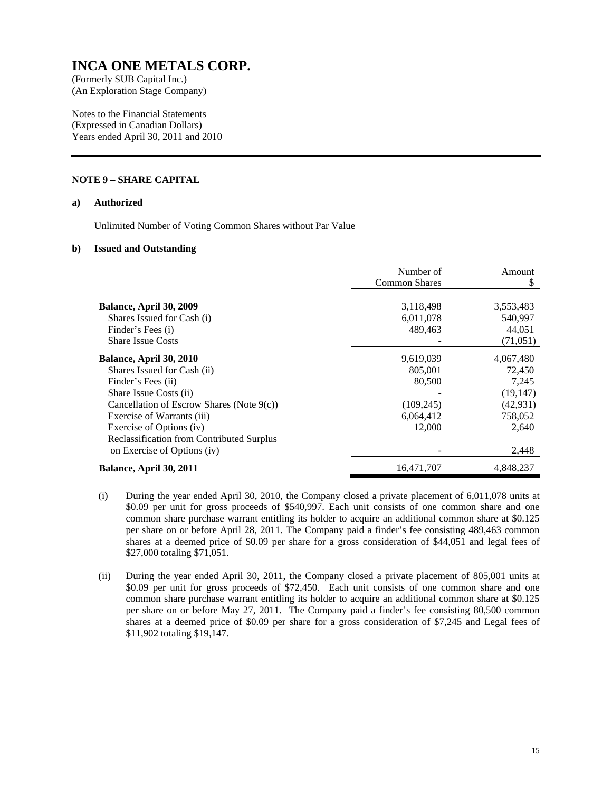(An Exploration Stage Company)

Notes to the Financial Statements (Expressed in Canadian Dollars) Years ended April 30, 2011 and 2010

#### **NOTE 9 – SHARE CAPITAL**

#### **a) Authorized**

Unlimited Number of Voting Common Shares without Par Value

#### **b) Issued and Outstanding**

|                                                                                                                                                                                                                                                               | Number of<br><b>Common Shares</b>                                   | Amount<br>\$                                                               |
|---------------------------------------------------------------------------------------------------------------------------------------------------------------------------------------------------------------------------------------------------------------|---------------------------------------------------------------------|----------------------------------------------------------------------------|
| Balance, April 30, 2009<br>Shares Issued for Cash (i)<br>Finder's Fees (i)<br><b>Share Issue Costs</b>                                                                                                                                                        | 3,118,498<br>6,011,078<br>489,463                                   | 3,553,483<br>540,997<br>44,051<br>(71, 051)                                |
| Balance, April 30, 2010<br>Shares Issued for Cash (ii)<br>Finder's Fees (ii)<br>Share Issue Costs (ii)<br>Cancellation of Escrow Shares (Note $9(c)$ )<br>Exercise of Warrants (iii)<br>Exercise of Options (iv)<br>Reclassification from Contributed Surplus | 9,619,039<br>805,001<br>80,500<br>(109, 245)<br>6,064,412<br>12,000 | 4,067,480<br>72,450<br>7,245<br>(19, 147)<br>(42, 931)<br>758,052<br>2,640 |
| on Exercise of Options (iv)<br>Balance, April 30, 2011                                                                                                                                                                                                        | 16,471,707                                                          | 2,448<br>4,848,237                                                         |

- (i) During the year ended April 30, 2010, the Company closed a private placement of 6,011,078 units at \$0.09 per unit for gross proceeds of \$540,997. Each unit consists of one common share and one common share purchase warrant entitling its holder to acquire an additional common share at \$0.125 per share on or before April 28, 2011. The Company paid a finder's fee consisting 489,463 common shares at a deemed price of \$0.09 per share for a gross consideration of \$44,051 and legal fees of \$27,000 totaling \$71,051.
- (ii) During the year ended April 30, 2011, the Company closed a private placement of 805,001 units at \$0.09 per unit for gross proceeds of \$72,450. Each unit consists of one common share and one common share purchase warrant entitling its holder to acquire an additional common share at \$0.125 per share on or before May 27, 2011. The Company paid a finder's fee consisting 80,500 common shares at a deemed price of \$0.09 per share for a gross consideration of \$7,245 and Legal fees of \$11,902 totaling \$19,147.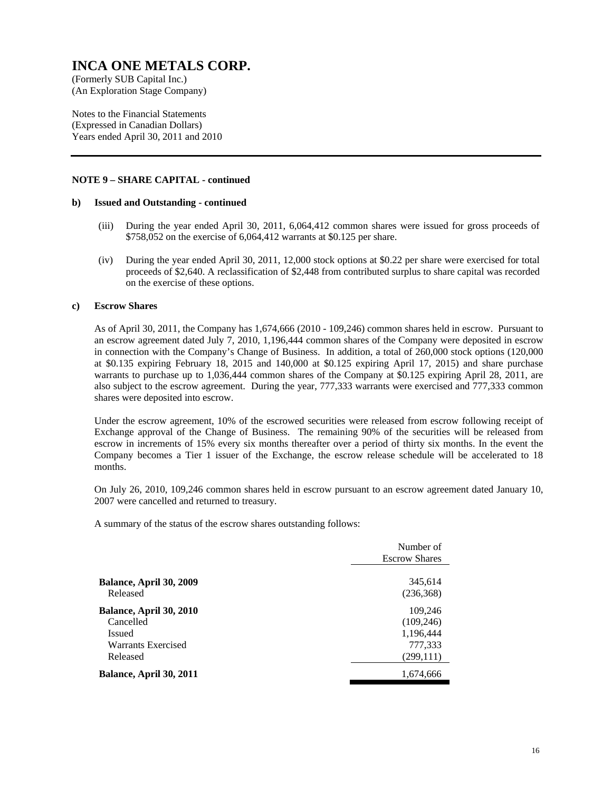(An Exploration Stage Company)

Notes to the Financial Statements (Expressed in Canadian Dollars) Years ended April 30, 2011 and 2010

#### **NOTE 9 – SHARE CAPITAL - continued**

#### **b) Issued and Outstanding - continued**

- (iii) During the year ended April 30, 2011, 6,064,412 common shares were issued for gross proceeds of \$758,052 on the exercise of 6,064,412 warrants at \$0.125 per share.
- (iv) During the year ended April 30, 2011, 12,000 stock options at \$0.22 per share were exercised for total proceeds of \$2,640. A reclassification of \$2,448 from contributed surplus to share capital was recorded on the exercise of these options.

#### **c) Escrow Shares**

As of April 30, 2011, the Company has 1,674,666 (2010 - 109,246) common shares held in escrow. Pursuant to an escrow agreement dated July 7, 2010, 1,196,444 common shares of the Company were deposited in escrow in connection with the Company's Change of Business. In addition, a total of 260,000 stock options (120,000 at \$0.135 expiring February 18, 2015 and 140,000 at \$0.125 expiring April 17, 2015) and share purchase warrants to purchase up to 1,036,444 common shares of the Company at \$0.125 expiring April 28, 2011, are also subject to the escrow agreement. During the year, 777,333 warrants were exercised and 777,333 common shares were deposited into escrow.

Under the escrow agreement, 10% of the escrowed securities were released from escrow following receipt of Exchange approval of the Change of Business. The remaining 90% of the securities will be released from escrow in increments of 15% every six months thereafter over a period of thirty six months. In the event the Company becomes a Tier 1 issuer of the Exchange, the escrow release schedule will be accelerated to 18 months.

On July 26, 2010, 109,246 common shares held in escrow pursuant to an escrow agreement dated January 10, 2007 were cancelled and returned to treasury.

A summary of the status of the escrow shares outstanding follows:

|                                     | Number of             |
|-------------------------------------|-----------------------|
|                                     | <b>Escrow Shares</b>  |
| Balance, April 30, 2009<br>Released | 345,614<br>(236, 368) |
| Balance, April 30, 2010             | 109,246               |
| Cancelled                           | (109, 246)            |
| Issued                              | 1,196,444             |
| Warrants Exercised                  | 777,333               |
| Released                            | (299, 111)            |
| Balance, April 30, 2011             | 1,674,666             |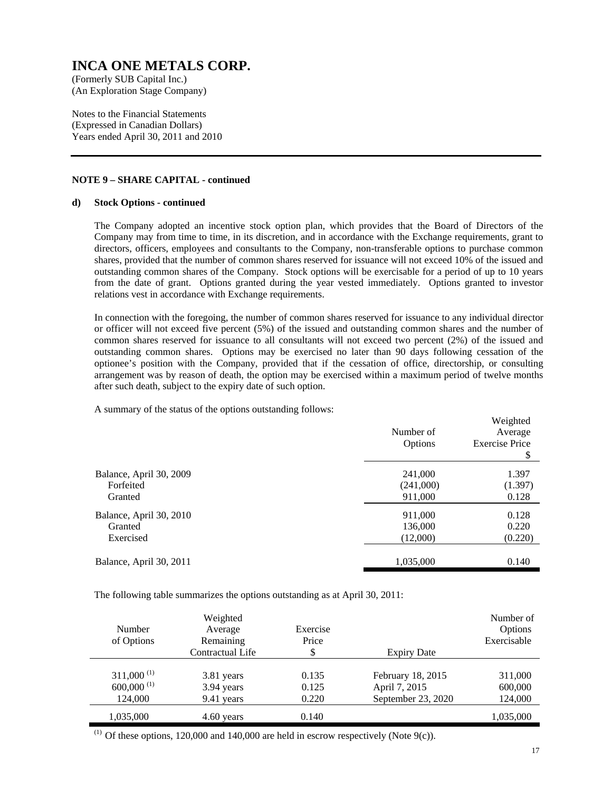(An Exploration Stage Company)

Notes to the Financial Statements (Expressed in Canadian Dollars) Years ended April 30, 2011 and 2010

#### **NOTE 9 – SHARE CAPITAL - continued**

#### **d) Stock Options - continued**

The Company adopted an incentive stock option plan, which provides that the Board of Directors of the Company may from time to time, in its discretion, and in accordance with the Exchange requirements, grant to directors, officers, employees and consultants to the Company, non-transferable options to purchase common shares, provided that the number of common shares reserved for issuance will not exceed 10% of the issued and outstanding common shares of the Company. Stock options will be exercisable for a period of up to 10 years from the date of grant. Options granted during the year vested immediately. Options granted to investor relations vest in accordance with Exchange requirements.

In connection with the foregoing, the number of common shares reserved for issuance to any individual director or officer will not exceed five percent (5%) of the issued and outstanding common shares and the number of common shares reserved for issuance to all consultants will not exceed two percent (2%) of the issued and outstanding common shares. Options may be exercised no later than 90 days following cessation of the optionee's position with the Company, provided that if the cessation of office, directorship, or consulting arrangement was by reason of death, the option may be exercised within a maximum period of twelve months after such death, subject to the expiry date of such option.

A summary of the status of the options outstanding follows:

|                         | Number of<br>Options | Weighted<br>Average<br><b>Exercise Price</b><br>\$ |
|-------------------------|----------------------|----------------------------------------------------|
| Balance, April 30, 2009 | 241,000              | 1.397                                              |
| Forfeited               | (241,000)            | (1.397)                                            |
| Granted                 | 911,000              | 0.128                                              |
| Balance, April 30, 2010 | 911,000              | 0.128                                              |
| Granted                 | 136,000              | 0.220                                              |
| Exercised               | (12,000)             | (0.220)                                            |
| Balance, April 30, 2011 | 1,035,000            | 0.140                                              |

The following table summarizes the options outstanding as at April 30, 2011:

| Number<br>of Options     | Weighted<br>Average<br>Remaining<br>Contractual Life | Exercise<br>Price<br>\$ | <b>Expiry Date</b> | Number of<br>Options<br>Exercisable |
|--------------------------|------------------------------------------------------|-------------------------|--------------------|-------------------------------------|
| $311,000^{(1)}$          | 3.81 years                                           | 0.135                   | February 18, 2015  | 311,000                             |
| $600,000$ <sup>(1)</sup> | 3.94 years                                           | 0.125                   | April 7, 2015      | 600,000                             |
| 124,000                  | 9.41 years                                           | 0.220                   | September 23, 2020 | 124,000                             |
| 1,035,000                | 4.60 years                                           | 0.140                   |                    | 1,035,000                           |

 $(1)$  Of these options, 120,000 and 140,000 are held in escrow respectively (Note 9(c)).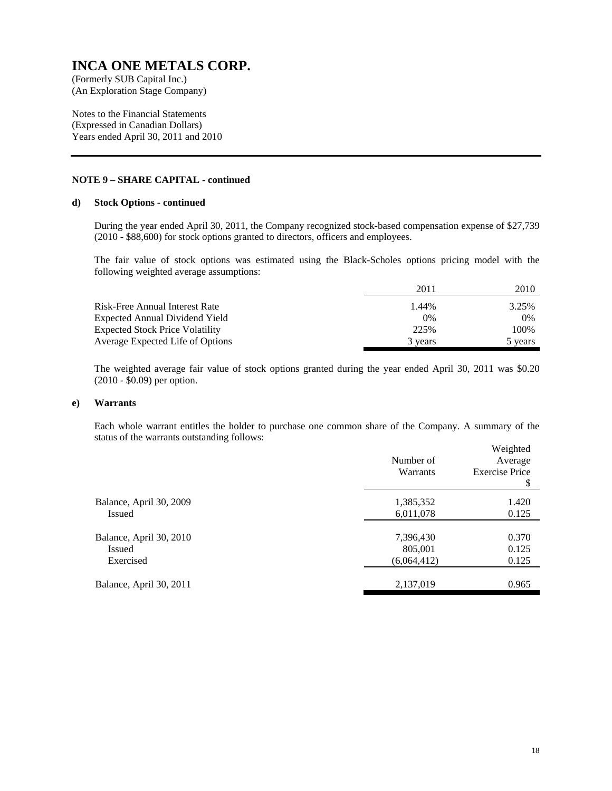(An Exploration Stage Company)

Notes to the Financial Statements (Expressed in Canadian Dollars) Years ended April 30, 2011 and 2010

#### **NOTE 9 – SHARE CAPITAL - continued**

#### **d) Stock Options - continued**

During the year ended April 30, 2011, the Company recognized stock-based compensation expense of \$27,739 (2010 - \$88,600) for stock options granted to directors, officers and employees.

The fair value of stock options was estimated using the Black-Scholes options pricing model with the following weighted average assumptions:

|                                        | 2011    | 2010    |
|----------------------------------------|---------|---------|
| Risk-Free Annual Interest Rate         | 1.44%   | 3.25%   |
| Expected Annual Dividend Yield         | $0\%$   | $0\%$   |
| <b>Expected Stock Price Volatility</b> | 225%    | 100\%   |
| Average Expected Life of Options       | 3 vears | 5 years |

The weighted average fair value of stock options granted during the year ended April 30, 2011 was \$0.20 (2010 - \$0.09) per option.

### **e) Warrants**

Each whole warrant entitles the holder to purchase one common share of the Company. A summary of the status of the warrants outstanding follows: Weighted

|                         | Number of<br>Warrants | Weighted<br>Average<br><b>Exercise Price</b><br>\$ |
|-------------------------|-----------------------|----------------------------------------------------|
| Balance, April 30, 2009 | 1,385,352             | 1.420                                              |
| Issued                  | 6,011,078             | 0.125                                              |
| Balance, April 30, 2010 | 7,396,430             | 0.370                                              |
| <b>Issued</b>           | 805,001               | 0.125                                              |
| Exercised               | (6,064,412)           | 0.125                                              |
| Balance, April 30, 2011 | 2,137,019             | 0.965                                              |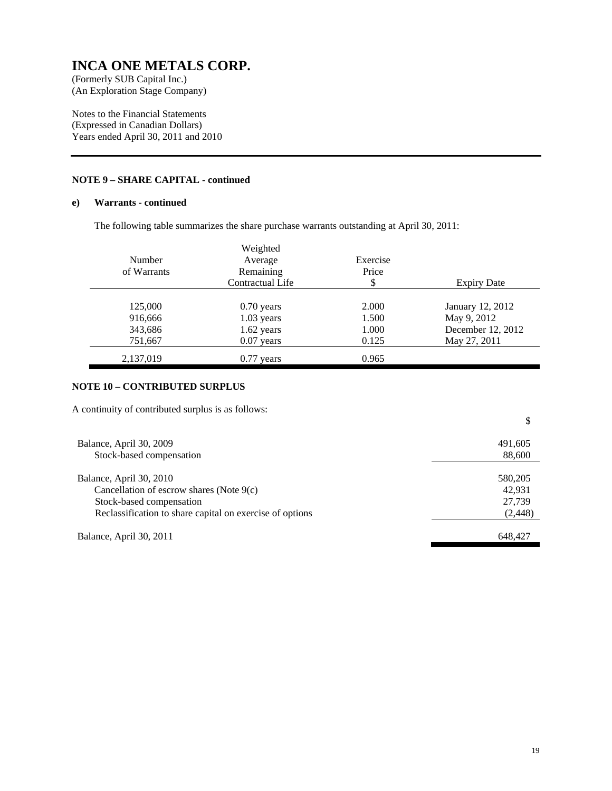(An Exploration Stage Company)

Notes to the Financial Statements (Expressed in Canadian Dollars) Years ended April 30, 2011 and 2010

### **NOTE 9 – SHARE CAPITAL - continued**

### **e) Warrants - continued**

The following table summarizes the share purchase warrants outstanding at April 30, 2011:

|           | Number<br>of Warrants | Weighted<br>Average<br>Remaining<br>Contractual Life | Exercise<br>Price | <b>Expiry Date</b> |
|-----------|-----------------------|------------------------------------------------------|-------------------|--------------------|
|           |                       |                                                      |                   |                    |
|           | 125,000               | $0.70$ years                                         | 2.000             | January 12, 2012   |
|           | 916,666               | 1.03 years                                           | 1.500             | May 9, 2012        |
|           | 343,686               | $1.62$ years                                         | 1.000             | December 12, 2012  |
|           | 751,667               | $0.07$ years                                         | 0.125             | May 27, 2011       |
| 2,137,019 |                       | $0.77$ years                                         | 0.965             |                    |
|           |                       |                                                      |                   |                    |

### **NOTE 10 – CONTRIBUTED SURPLUS**

A continuity of contributed surplus is as follows:

|                                                          | \$       |
|----------------------------------------------------------|----------|
| Balance, April 30, 2009                                  | 491,605  |
| Stock-based compensation                                 | 88,600   |
| Balance, April 30, 2010                                  | 580,205  |
| Cancellation of escrow shares (Note 9(c)                 | 42,931   |
| Stock-based compensation                                 | 27,739   |
| Reclassification to share capital on exercise of options | (2, 448) |
| Balance, April 30, 2011                                  | 648,427  |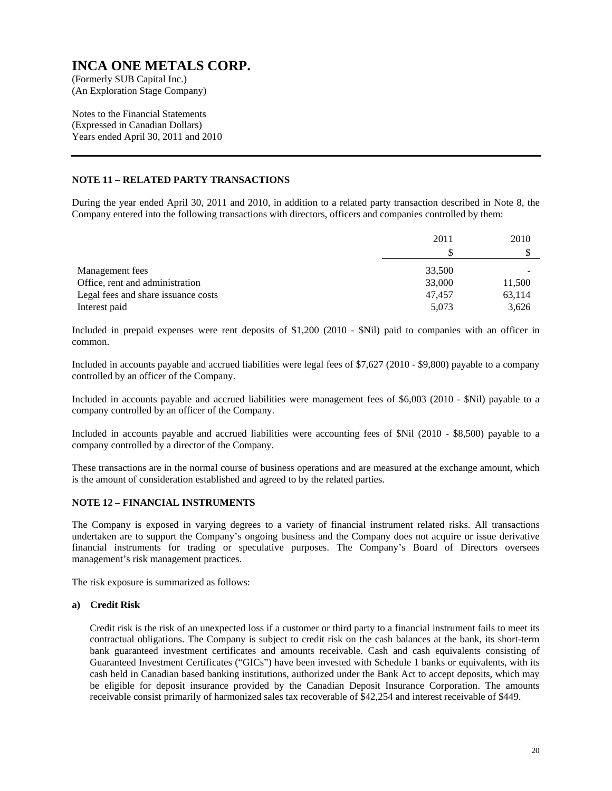(An Exploration Stage Company)

Notes to the Financial Statements (Expressed in Canadian Dollars) Years ended April 30, 2011 and 2010

### **NOTE 11 – RELATED PARTY TRANSACTIONS**

During the year ended April 30, 2011 and 2010, in addition to a related party transaction described in Note 8, the Company entered into the following transactions with directors, officers and companies controlled by them:

|                                     | 2011   | 2010   |
|-------------------------------------|--------|--------|
|                                     |        |        |
| Management fees                     | 33,500 |        |
| Office, rent and administration     | 33,000 | 11,500 |
| Legal fees and share issuance costs | 47.457 | 63,114 |
| Interest paid                       | 5,073  | 3,626  |

Included in prepaid expenses were rent deposits of \$1,200 (2010 - \$Nil) paid to companies with an officer in common.

Included in accounts payable and accrued liabilities were legal fees of \$7,627 (2010 - \$9,800) payable to a company controlled by an officer of the Company.

Included in accounts payable and accrued liabilities were management fees of \$6,003 (2010 - \$Nil) payable to a company controlled by an officer of the Company.

Included in accounts payable and accrued liabilities were accounting fees of \$Nil (2010 - \$8,500) payable to a company controlled by a director of the Company.

These transactions are in the normal course of business operations and are measured at the exchange amount, which is the amount of consideration established and agreed to by the related parties.

### **NOTE 12 – FINANCIAL INSTRUMENTS**

The Company is exposed in varying degrees to a variety of financial instrument related risks. All transactions undertaken are to support the Company's ongoing business and the Company does not acquire or issue derivative financial instruments for trading or speculative purposes. The Company's Board of Directors oversees management's risk management practices.

The risk exposure is summarized as follows:

#### **a) Credit Risk**

Credit risk is the risk of an unexpected loss if a customer or third party to a financial instrument fails to meet its contractual obligations. The Company is subject to credit risk on the cash balances at the bank, its short-term bank guaranteed investment certificates and amounts receivable. Cash and cash equivalents consisting of Guaranteed Investment Certificates ("GICs") have been invested with Schedule 1 banks or equivalents, with its cash held in Canadian based banking institutions, authorized under the Bank Act to accept deposits, which may be eligible for deposit insurance provided by the Canadian Deposit Insurance Corporation. The amounts receivable consist primarily of harmonized sales tax recoverable of \$42,254 and interest receivable of \$449.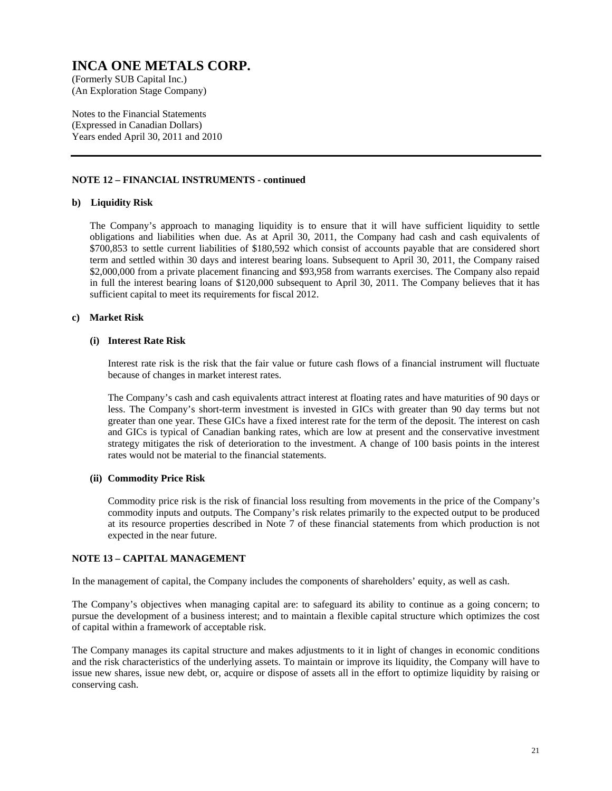(An Exploration Stage Company)

Notes to the Financial Statements (Expressed in Canadian Dollars) Years ended April 30, 2011 and 2010

#### **NOTE 12 – FINANCIAL INSTRUMENTS - continued**

### **b) Liquidity Risk**

The Company's approach to managing liquidity is to ensure that it will have sufficient liquidity to settle obligations and liabilities when due. As at April 30, 2011, the Company had cash and cash equivalents of \$700,853 to settle current liabilities of \$180,592 which consist of accounts payable that are considered short term and settled within 30 days and interest bearing loans. Subsequent to April 30, 2011, the Company raised \$2,000,000 from a private placement financing and \$93,958 from warrants exercises. The Company also repaid in full the interest bearing loans of \$120,000 subsequent to April 30, 2011. The Company believes that it has sufficient capital to meet its requirements for fiscal 2012.

#### **c) Market Risk**

#### **(i) Interest Rate Risk**

Interest rate risk is the risk that the fair value or future cash flows of a financial instrument will fluctuate because of changes in market interest rates.

The Company's cash and cash equivalents attract interest at floating rates and have maturities of 90 days or less. The Company's short-term investment is invested in GICs with greater than 90 day terms but not greater than one year. These GICs have a fixed interest rate for the term of the deposit. The interest on cash and GICs is typical of Canadian banking rates, which are low at present and the conservative investment strategy mitigates the risk of deterioration to the investment. A change of 100 basis points in the interest rates would not be material to the financial statements.

#### **(ii) Commodity Price Risk**

Commodity price risk is the risk of financial loss resulting from movements in the price of the Company's commodity inputs and outputs. The Company's risk relates primarily to the expected output to be produced at its resource properties described in Note 7 of these financial statements from which production is not expected in the near future.

#### **NOTE 13 – CAPITAL MANAGEMENT**

In the management of capital, the Company includes the components of shareholders' equity, as well as cash.

The Company's objectives when managing capital are: to safeguard its ability to continue as a going concern; to pursue the development of a business interest; and to maintain a flexible capital structure which optimizes the cost of capital within a framework of acceptable risk.

The Company manages its capital structure and makes adjustments to it in light of changes in economic conditions and the risk characteristics of the underlying assets. To maintain or improve its liquidity, the Company will have to issue new shares, issue new debt, or, acquire or dispose of assets all in the effort to optimize liquidity by raising or conserving cash.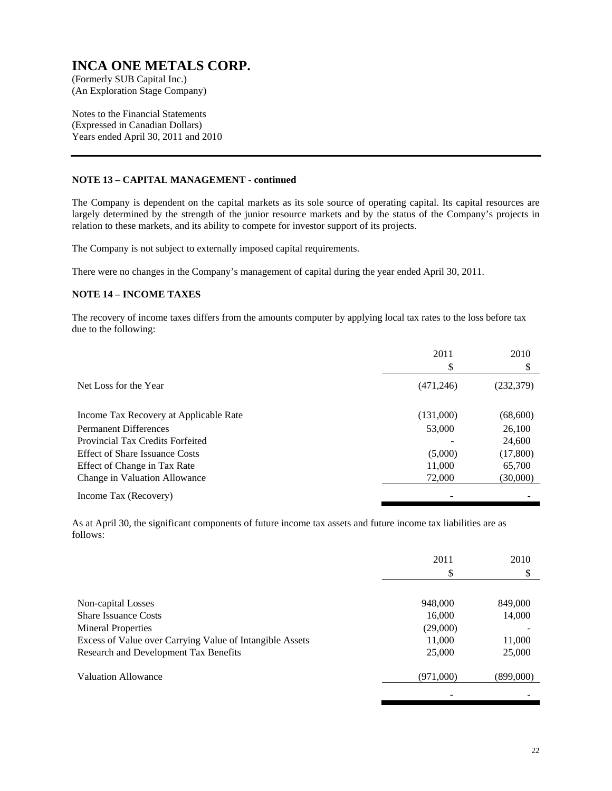(An Exploration Stage Company)

Notes to the Financial Statements (Expressed in Canadian Dollars) Years ended April 30, 2011 and 2010

### **NOTE 13 – CAPITAL MANAGEMENT - continued**

The Company is dependent on the capital markets as its sole source of operating capital. Its capital resources are largely determined by the strength of the junior resource markets and by the status of the Company's projects in relation to these markets, and its ability to compete for investor support of its projects.

The Company is not subject to externally imposed capital requirements.

There were no changes in the Company's management of capital during the year ended April 30, 2011.

#### **NOTE 14 – INCOME TAXES**

The recovery of income taxes differs from the amounts computer by applying local tax rates to the loss before tax due to the following:

|                                        | 2011      | 2010       |
|----------------------------------------|-----------|------------|
|                                        | \$        | \$         |
| Net Loss for the Year                  | (471,246) | (232, 379) |
| Income Tax Recovery at Applicable Rate | (131,000) | (68,600)   |
| <b>Permanent Differences</b>           | 53,000    | 26,100     |
| Provincial Tax Credits Forfeited       |           | 24,600     |
| <b>Effect of Share Issuance Costs</b>  | (5,000)   | (17,800)   |
| Effect of Change in Tax Rate           | 11,000    | 65,700     |
| Change in Valuation Allowance          | 72,000    | (30,000)   |
| Income Tax (Recovery)                  |           |            |

As at April 30, the significant components of future income tax assets and future income tax liabilities are as follows:

|                                                          | 2011      | 2010      |
|----------------------------------------------------------|-----------|-----------|
|                                                          | S         |           |
|                                                          |           |           |
| Non-capital Losses                                       | 948,000   | 849,000   |
| <b>Share Issuance Costs</b>                              | 16,000    | 14,000    |
| <b>Mineral Properties</b>                                | (29,000)  |           |
| Excess of Value over Carrying Value of Intangible Assets | 11,000    | 11,000    |
| Research and Development Tax Benefits                    | 25,000    | 25,000    |
| <b>Valuation Allowance</b>                               | (971,000) | (899,000) |
|                                                          |           |           |